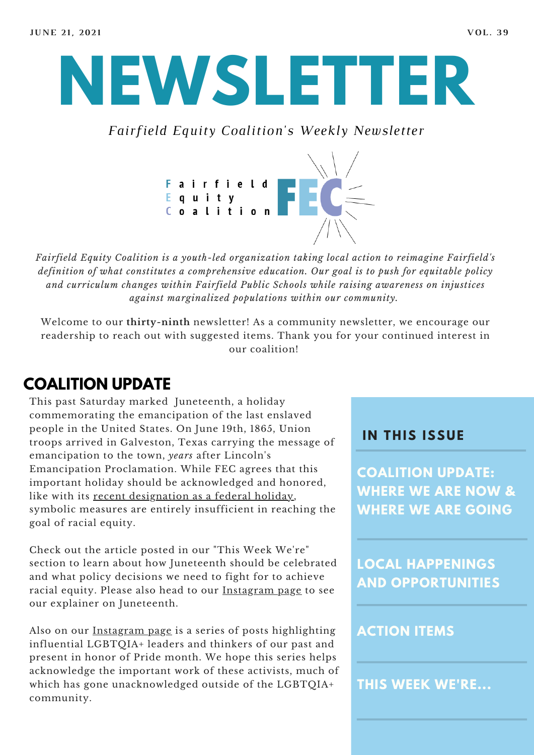

*Fairfield Equity Coalition's Weekly Newsletter*



*Fairfield Equity Coalition is a youth-led organization taking local action to reimagine Fairfield's definition of what constitutes a comprehensive education. Our goal is to push for equitable policy and curriculum changes within Fairfield Public Schools while raising awareness on injustices against marginalized populations within our community.*

Welcome to our **thirty-ninth** newsletter! As a community newsletter, we encourage our readership to reach out with suggested items. Thank you for your continued interest in our coalition!

# **COALITION UPDATE**

This past Saturday marked Juneteenth, a holiday commemorating the emancipation of the last enslaved people in the United States. On June 19th, 1865, Union troops arrived in Galveston, Texas carrying the message of emancipation to the town, *years* after Lincoln's Emancipation Proclamation. While FEC agrees that this important holiday should be acknowledged and honored, like with its recent [designation](https://www.nytimes.com/2021/06/17/us/politics/juneteenth-holiday-biden.html) as a federal holiday, symbolic measures are entirely insufficient in reaching the goal of racial equity.

Check out the article posted in our "This Week We're" section to learn about how Juneteenth should be celebrated and what policy decisions we need to fight for to achieve racial equity. Please also head to our [Instagram](https://www.instagram.com/fairfieldequitycoalition/?hl=en) page to see our explainer on Juneteenth.

Also on our <u>[Instagram](https://www.instagram.com/fairfieldequitycoalition/?hl=en) page</u> is a series of posts highlighting influential LGBTQIA+ leaders and thinkers of our past and present in honor of Pride month. We hope this series helps acknowledge the important work of these activists, much of which has gone unacknowledged outside of the LGBTQIA+ community.

### **I N THIS ISSUE**

**COALITION UPDATE: WHERE WE ARE NOW & WHERE WE ARE GOING**

**LOCAL HAPPENINGS AND OPPORTUNITIES**

#### **ACTION ITEMS**

**THIS WEEK WE'RE...**